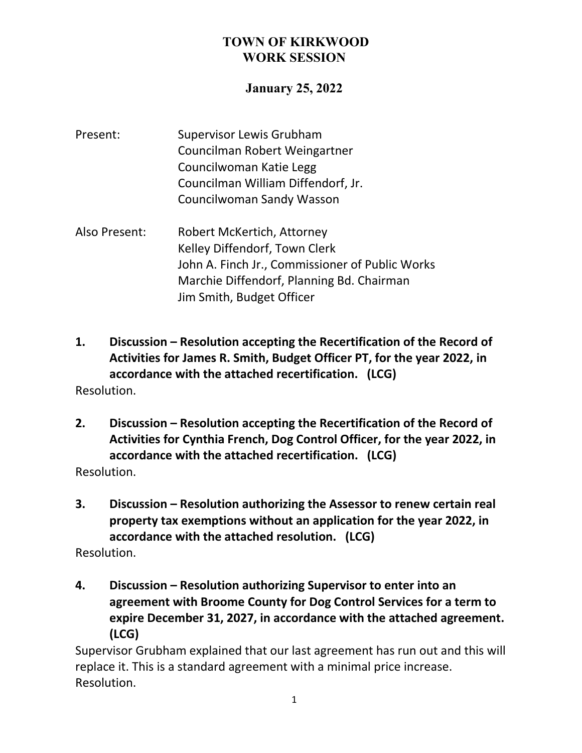## **January 25, 2022**

- Present: Supervisor Lewis Grubham Councilman Robert Weingartner Councilwoman Katie Legg Councilman William Diffendorf, Jr. Councilwoman Sandy Wasson
- Also Present: Robert McKertich, Attorney Kelley Diffendorf, Town Clerk John A. Finch Jr., Commissioner of Public Works Marchie Diffendorf, Planning Bd. Chairman Jim Smith, Budget Officer
- **1. Discussion – Resolution accepting the Recertification of the Record of Activities for James R. Smith, Budget Officer PT, for the year 2022, in accordance with the attached recertification. (LCG)** Resolution.
- **2. Discussion – Resolution accepting the Recertification of the Record of Activities for Cynthia French, Dog Control Officer, for the year 2022, in accordance with the attached recertification. (LCG)** Resolution.
- **3. Discussion – Resolution authorizing the Assessor to renew certain real property tax exemptions without an application for the year 2022, in accordance with the attached resolution. (LCG)**

Resolution.

**4. Discussion – Resolution authorizing Supervisor to enter into an agreement with Broome County for Dog Control Services for a term to expire December 31, 2027, in accordance with the attached agreement. (LCG)**

Supervisor Grubham explained that our last agreement has run out and this will replace it. This is a standard agreement with a minimal price increase. Resolution.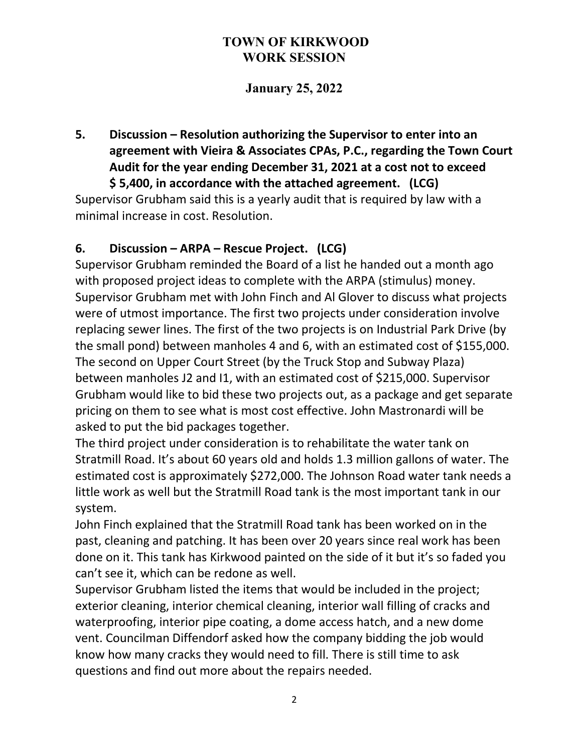# **January 25, 2022**

**5. Discussion – Resolution authorizing the Supervisor to enter into an agreement with Vieira & Associates CPAs, P.C., regarding the Town Court Audit for the year ending December 31, 2021 at a cost not to exceed \$ 5,400, in accordance with the attached agreement. (LCG)**

Supervisor Grubham said this is a yearly audit that is required by law with a minimal increase in cost. Resolution.

## **6. Discussion – ARPA – Rescue Project. (LCG)**

Supervisor Grubham reminded the Board of a list he handed out a month ago with proposed project ideas to complete with the ARPA (stimulus) money. Supervisor Grubham met with John Finch and Al Glover to discuss what projects were of utmost importance. The first two projects under consideration involve replacing sewer lines. The first of the two projects is on Industrial Park Drive (by the small pond) between manholes 4 and 6, with an estimated cost of \$155,000. The second on Upper Court Street (by the Truck Stop and Subway Plaza) between manholes J2 and I1, with an estimated cost of \$215,000. Supervisor Grubham would like to bid these two projects out, as a package and get separate pricing on them to see what is most cost effective. John Mastronardi will be asked to put the bid packages together.

The third project under consideration is to rehabilitate the water tank on Stratmill Road. It's about 60 years old and holds 1.3 million gallons of water. The estimated cost is approximately \$272,000. The Johnson Road water tank needs a little work as well but the Stratmill Road tank is the most important tank in our system.

John Finch explained that the Stratmill Road tank has been worked on in the past, cleaning and patching. It has been over 20 years since real work has been done on it. This tank has Kirkwood painted on the side of it but it's so faded you can't see it, which can be redone as well.

Supervisor Grubham listed the items that would be included in the project; exterior cleaning, interior chemical cleaning, interior wall filling of cracks and waterproofing, interior pipe coating, a dome access hatch, and a new dome vent. Councilman Diffendorf asked how the company bidding the job would know how many cracks they would need to fill. There is still time to ask questions and find out more about the repairs needed.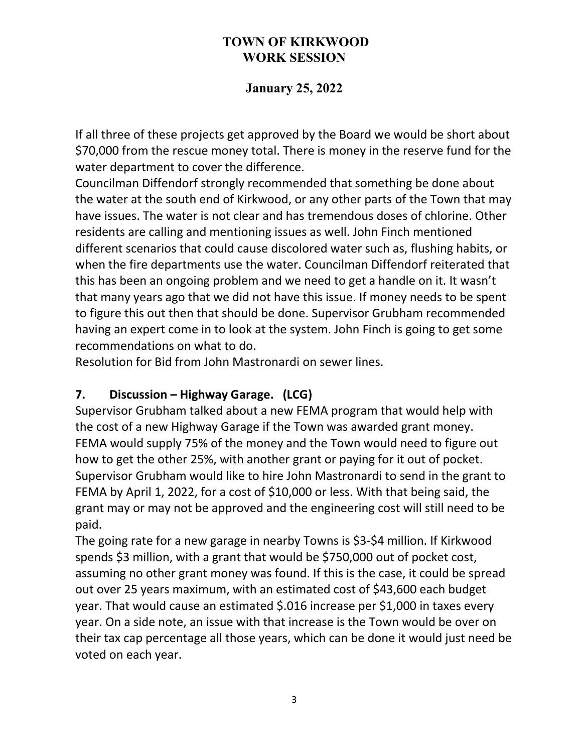# **January 25, 2022**

If all three of these projects get approved by the Board we would be short about \$70,000 from the rescue money total. There is money in the reserve fund for the water department to cover the difference.

Councilman Diffendorf strongly recommended that something be done about the water at the south end of Kirkwood, or any other parts of the Town that may have issues. The water is not clear and has tremendous doses of chlorine. Other residents are calling and mentioning issues as well. John Finch mentioned different scenarios that could cause discolored water such as, flushing habits, or when the fire departments use the water. Councilman Diffendorf reiterated that this has been an ongoing problem and we need to get a handle on it. It wasn't that many years ago that we did not have this issue. If money needs to be spent to figure this out then that should be done. Supervisor Grubham recommended having an expert come in to look at the system. John Finch is going to get some recommendations on what to do.

Resolution for Bid from John Mastronardi on sewer lines.

## **7. Discussion – Highway Garage. (LCG)**

Supervisor Grubham talked about a new FEMA program that would help with the cost of a new Highway Garage if the Town was awarded grant money. FEMA would supply 75% of the money and the Town would need to figure out how to get the other 25%, with another grant or paying for it out of pocket. Supervisor Grubham would like to hire John Mastronardi to send in the grant to FEMA by April 1, 2022, for a cost of \$10,000 or less. With that being said, the grant may or may not be approved and the engineering cost will still need to be paid.

The going rate for a new garage in nearby Towns is \$3-\$4 million. If Kirkwood spends \$3 million, with a grant that would be \$750,000 out of pocket cost, assuming no other grant money was found. If this is the case, it could be spread out over 25 years maximum, with an estimated cost of \$43,600 each budget year. That would cause an estimated \$.016 increase per \$1,000 in taxes every year. On a side note, an issue with that increase is the Town would be over on their tax cap percentage all those years, which can be done it would just need be voted on each year.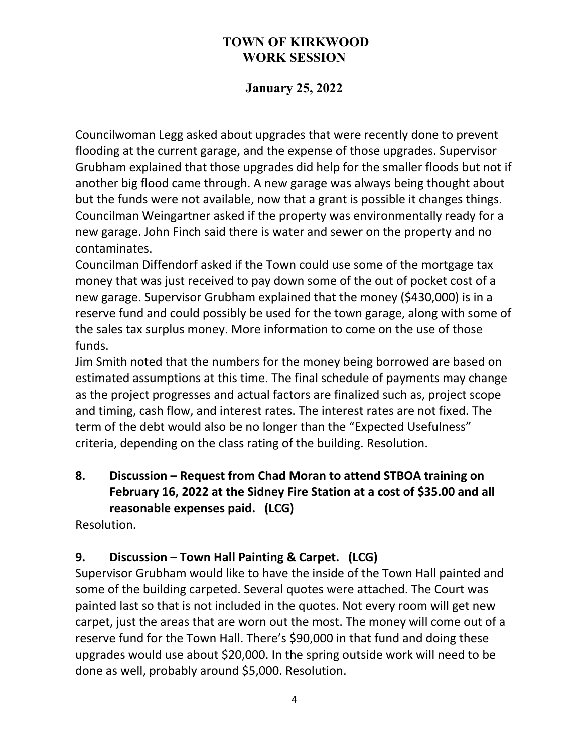# **January 25, 2022**

Councilwoman Legg asked about upgrades that were recently done to prevent flooding at the current garage, and the expense of those upgrades. Supervisor Grubham explained that those upgrades did help for the smaller floods but not if another big flood came through. A new garage was always being thought about but the funds were not available, now that a grant is possible it changes things. Councilman Weingartner asked if the property was environmentally ready for a new garage. John Finch said there is water and sewer on the property and no contaminates.

Councilman Diffendorf asked if the Town could use some of the mortgage tax money that was just received to pay down some of the out of pocket cost of a new garage. Supervisor Grubham explained that the money (\$430,000) is in a reserve fund and could possibly be used for the town garage, along with some of the sales tax surplus money. More information to come on the use of those funds.

Jim Smith noted that the numbers for the money being borrowed are based on estimated assumptions at this time. The final schedule of payments may change as the project progresses and actual factors are finalized such as, project scope and timing, cash flow, and interest rates. The interest rates are not fixed. The term of the debt would also be no longer than the "Expected Usefulness" criteria, depending on the class rating of the building. Resolution.

# **8. Discussion – Request from Chad Moran to attend STBOA training on February 16, 2022 at the Sidney Fire Station at a cost of \$35.00 and all reasonable expenses paid. (LCG)**

Resolution.

# **9. Discussion – Town Hall Painting & Carpet. (LCG)**

Supervisor Grubham would like to have the inside of the Town Hall painted and some of the building carpeted. Several quotes were attached. The Court was painted last so that is not included in the quotes. Not every room will get new carpet, just the areas that are worn out the most. The money will come out of a reserve fund for the Town Hall. There's \$90,000 in that fund and doing these upgrades would use about \$20,000. In the spring outside work will need to be done as well, probably around \$5,000. Resolution.